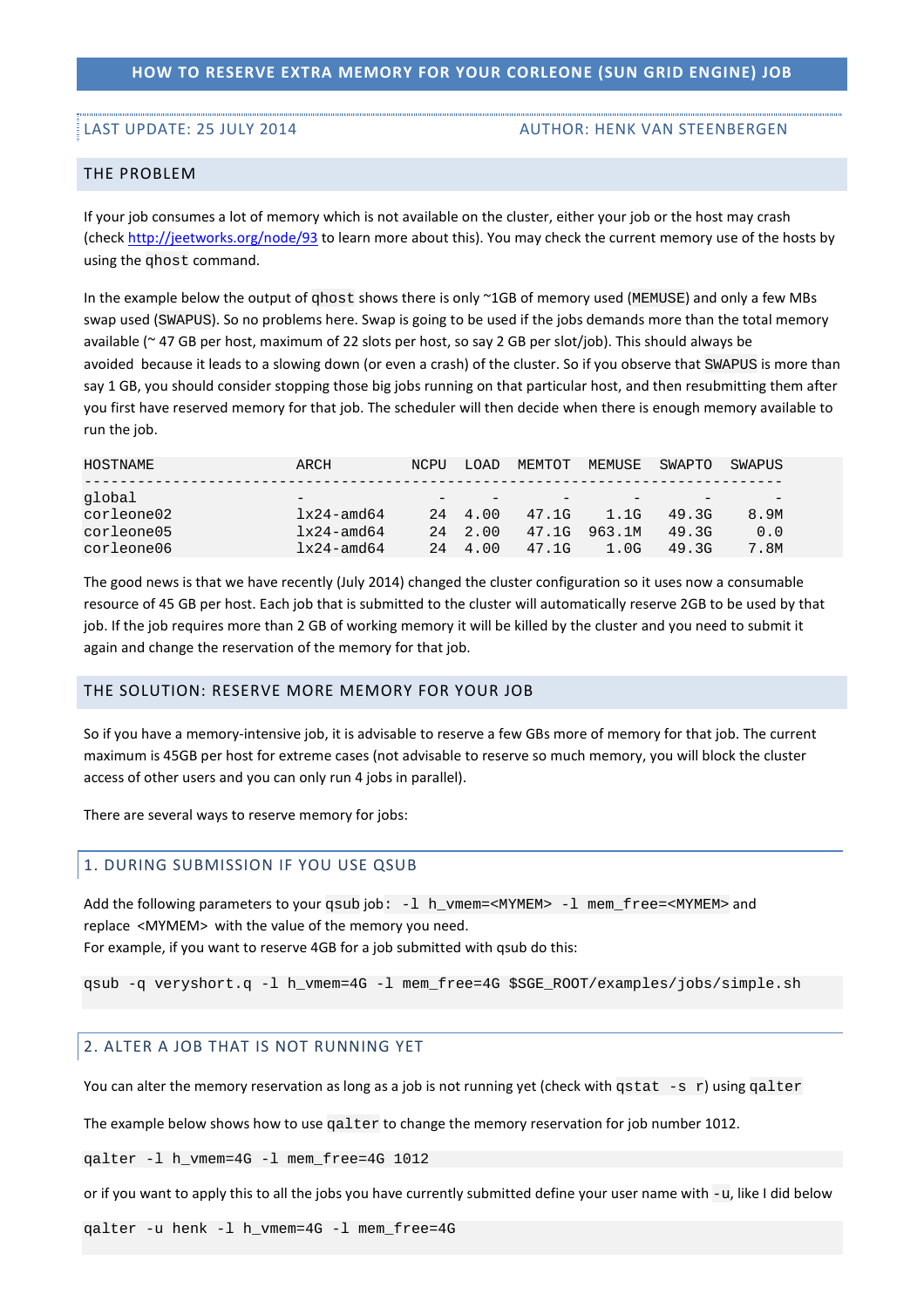## **HOW TO RESERVE EXTRA MEMORY FOR YOUR CORLEONE (SUN GRID ENGINE) JOB**

#### LAST UPDATE: 25 JULY 2014 AUTHOR: HENK VAN STEENBERGEN

### THE PROBLEM

If your job consumes a lot of memory which is not available on the cluster, either your job or the host may crash (check http://jeetworks.org/node/93 to learn more about this). You may check the current memory use of the hosts by using the qhost command.

In the example below the output of  $q$ host shows there is only ~1GB of memory used (MEMUSE) and only a few MBs swap used (SWAPUS). So no problems here. Swap is going to be used if the jobs demands more than the total memory available (~ 47 GB per host, maximum of 22 slots per host, so say 2 GB per slot/job). This should always be avoided because it leads to a slowing down (or even a crash) of the cluster. So if you observe that SWAPUS is more than say 1 GB, you should consider stopping those big jobs running on that particular host, and then resubmitting them after you first have reserved memory for that job. The scheduler will then decide when there is enough memory available to run the job.

| HOSTNAME   | ARCH                     | NCPU | LOAD    | MEMTOT | MEMUSE | SWAPTO | SWAPUS |
|------------|--------------------------|------|---------|--------|--------|--------|--------|
| global     | $\overline{\phantom{m}}$ |      |         |        |        |        |        |
| corleone02 | $1x24$ -amd64            |      | 24 4.00 | 47.1G  | 1.1G   | 49.3G  | 8.9M   |
| corleone05 | $1x24$ -amd64            | 2.4  | 2.00    | 47.1G  | 963.1M | 49.3G  | 0.0    |
| corleone06 | $1x24$ -amd64            | 2.4  | 4.00    | 47.1G  | 1.0G   | 49.3G  | 7.8M   |

The good news is that we have recently (July 2014) changed the cluster configuration so it uses now a consumable resource of 45 GB per host. Each job that is submitted to the cluster will automatically reserve 2GB to be used by that job. If the job requires more than 2 GB of working memory it will be killed by the cluster and you need to submit it again and change the reservation of the memory for that job.

## THE SOLUTION: RESERVE MORE MEMORY FOR YOUR JOB

So if you have a memory-intensive job, it is advisable to reserve a few GBs more of memory for that job. The current maximum is 45GB per host for extreme cases (not advisable to reserve so much memory, you will block the cluster access of other users and you can only run 4 jobs in parallel).

There are several ways to reserve memory for jobs:

#### 1. DURING SUBMISSION IF YOU USE QSUB

Add the following parameters to your qsub job:  $-1$  h\_vmem=<MYMEM> -1 mem\_free=<MYMEM> and replace <MYMEM> with the value of the memory you need.

For example, if you want to reserve 4GB for a job submitted with qsub do this:

qsub -q veryshort.q -l h\_vmem=4G -l mem\_free=4G \$SGE\_ROOT/examples/jobs/simple.sh

#### 2. ALTER A JOB THAT IS NOT RUNNING YET

You can alter the memory reservation as long as a job is not running yet (check with qstat -s r) using galter

The example below shows how to use  $q$ alter to change the memory reservation for job number 1012.

qalter -l h\_vmem=4G -l mem\_free=4G 1012

or if you want to apply this to all the jobs you have currently submitted define your user name with -u, like I did below

qalter -u henk -l h\_vmem=4G -l mem\_free=4G